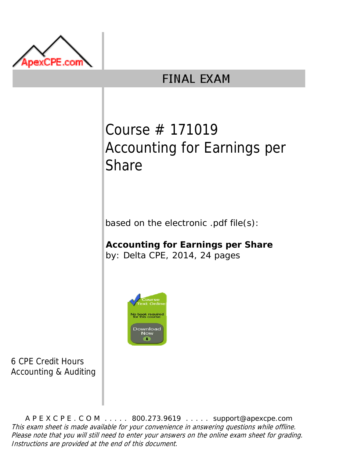

## **FINAL EXAM**

## Course # 171019 Accounting for Earnings per **Share**

based on the electronic .pdf file(s):

**Accounting for Earnings per Share** by: Delta CPE, 2014, 24 pages



6 CPE Credit Hours Accounting & Auditing

A P E X C P E . C O M . . . . . 800.273.9619 . . . . . support@apexcpe.com This exam sheet is made available for your convenience in answering questions while offline. Please note that you will still need to enter your answers on the online exam sheet for grading. Instructions are provided at the end of this document.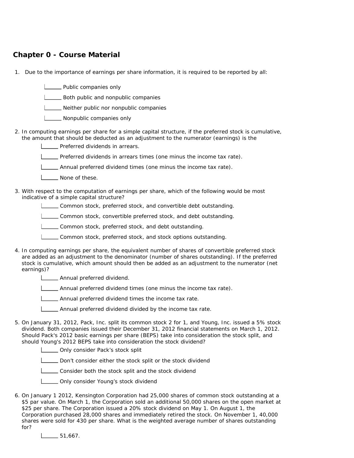## **Chapter 0 - Course Material**

- 1. Due to the importance of earnings per share information, it is required to be reported by all:
	- **Letter** Public companies only

**L\_\_\_\_** Both public and nonpublic companies

**LETTER** Neither public nor nonpublic companies

**Nonpublic companies only** 

2. In computing earnings per share for a simple capital structure, if the preferred stock is cumulative, the amount that should be deducted as an adjustment to the numerator (earnings) is the

Preferred dividends in arrears.

Preferred dividends in arrears times (one minus the income tax rate).

Annual preferred dividend times (one minus the income tax rate).

- **L**\_\_\_\_\_ None of these.
- 3. With respect to the computation of earnings per share, which of the following would be most indicative of a simple capital structure?

Common stock, preferred stock, and convertible debt outstanding.

Common stock, convertible preferred stock, and debt outstanding.

Common stock, preferred stock, and debt outstanding.

- **Common stock, preferred stock, and stock options outstanding.**
- 4. In computing earnings per share, the equivalent number of shares of convertible preferred stock are added as an adjustment to the denominator (number of shares outstanding). If the preferred stock is cumulative, which amount should then be added as an adjustment to the numerator (net earnings)?

**Annual preferred dividend.** 

Annual preferred dividend times (one minus the income tax rate).

**LECT** Annual preferred dividend times the income tax rate.

- Annual preferred dividend divided by the income tax rate.
- 5. On January 31, 2012, Pack, Inc. split its common stock 2 for 1, and Young, Inc. issued a 5% stock dividend. Both companies issued their December 31, 2012 financial statements on March 1, 2012. Should Pack's 2012 basic earnings per share (BEPS) take into consideration the stock split, and should Young's 2012 BEPS take into consideration the stock dividend?
	- **LETT** Only consider Pack's stock split
	- Don't consider either the stock split or the stock dividend
	- **LECONSIDER CONSIDER STOCK SPLIT AND READ CONSIDER STOCK OF STOCK** dividend
	- **L\_\_\_\_** Only consider Young's stock dividend
- 6. On January 1 2012, Kensington Corporation had 25,000 shares of common stock outstanding at a \$5 par value. On March 1, the Corporation sold an additional 50,000 shares on the open market at \$25 per share. The Corporation issued a 20% stock dividend on May 1. On August 1, the Corporation purchased 28,000 shares and immediately retired the stock. On November 1, 40,000 shares were sold for 430 per share. What is the weighted average number of shares outstanding for?

 $\frac{1}{51,667}$ .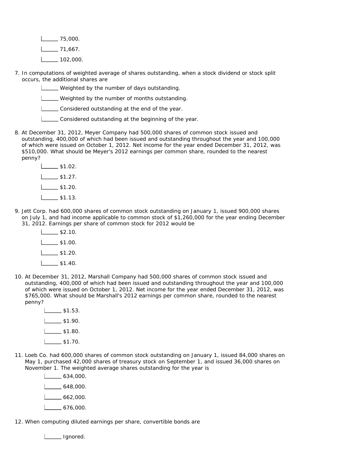$1$  75,000.  $1 - 71,667$ .  $1 - 102,000$ .

7. In computations of weighted average of shares outstanding, when a stock dividend or stock split occurs, the additional shares are

Weighted by the number of days outstanding.

Weighted by the number of months outstanding.

Considered outstanding at the end of the year.

- Considered outstanding at the beginning of the year.
- 8. At December 31, 2012, Meyer Company had 500,000 shares of common stock issued and outstanding, 400,000 of which had been issued and outstanding throughout the year and 100,000 of which were issued on October 1, 2012. Net income for the year ended December 31, 2012, was \$510,000. What should be Meyer's 2012 earnings per common share, rounded to the nearest penny?
	- $\frac{1}{51.02}$ .  $\frac{1}{1}$  \$1.27.  $\frac{1}{31.20}$ .  $L_{2}$ \$1.13.
- 9. Jett Corp. had 600,000 shares of common stock outstanding on January 1, issued 900,000 shares on July 1, and had income applicable to common stock of \$1,260,000 for the year ending December 31, 2012. Earnings per share of common stock for 2012 would be
	- $\frac{1}{2}$ \$2.10.  $\frac{1}{1}$  \$1.00.  $\frac{1}{1}$ \$1.20.  $\frac{1}{1}$  \$1.40.
- 10. At December 31, 2012, Marshall Company had 500,000 shares of common stock issued and outstanding, 400,000 of which had been issued and outstanding throughout the year and 100,000 of which were issued on October 1, 2012. Net income for the year ended December 31, 2012, was \$765,000. What should be Marshall's 2012 earnings per common share, rounded to the nearest penny?
	- $L_{2}$ \$1.53.  $\frac{1}{1}$ \$1.90.  $\frac{1}{1}$ \$1.80.  $1 \quad - 1.70.$
- 11. Loeb Co. had 600,000 shares of common stock outstanding on January 1, issued 84,000 shares on May 1, purchased 42,000 shares of treasury stock on September 1, and issued 36,000 shares on November 1. The weighted average shares outstanding for the year is

| 634,000. |
|----------|
| 648,000. |
| 662,000. |
| 676,000. |

12. When computing diluted earnings per share, convertible bonds are

Letter Lignored.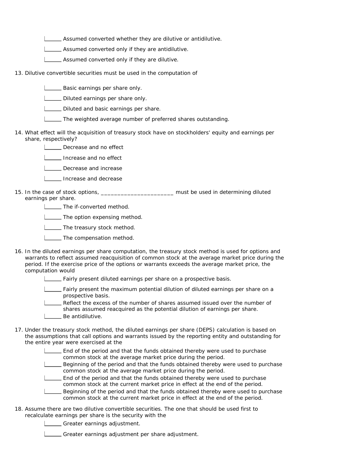Assumed converted whether they are dilutive or antidilutive.

Assumed converted only if they are antidilutive.

**L\_\_\_ Assumed converted only if they are dilutive.** 

13. Dilutive convertible securities must be used in the computation of

**Letter** Basic earnings per share only.

Diluted earnings per share only.

Diluted and basic earnings per share.

The weighted average number of preferred shares outstanding.

14. What effect will the acquisition of treasury stock have on stockholders' equity and earnings per share, respectively?

**LETT** Decrease and no effect

Increase and no effect

**Lecrease and increase** 

**IDEE** Increase and decrease

15. In the case of stock options, \_\_\_\_\_\_\_\_\_\_\_\_\_\_\_\_\_\_\_\_\_\_\_\_\_\_ must be used in determining diluted earnings per share.

**LECTR** The if-converted method.

**LETTIME:** The option expensing method.

**The treasury stock method.** 

- **L\_\_\_\_** The compensation method.
- 16. In the diluted earnings per share computation, the treasury stock method is used for options and warrants to reflect assumed reacquisition of common stock at the average market price during the period. If the exercise price of the options or warrants exceeds the average market price, the computation would

Fairly present diluted earnings per share on a prospective basis.

Fairly present the maximum potential dilution of diluted earnings per share on a prospective basis.

Reflect the excess of the number of shares assumed issued over the number of shares assumed reacquired as the potential dilution of earnings per share. I \_\_\_\_ Be antidilutive.

- 17. Under the treasury stock method, the diluted earnings per share (DEPS) calculation is based on the assumptions that call options and warrants issued by the reporting entity and outstanding for the entire year were exercised at the
	- End of the period and that the funds obtained thereby were used to purchase common stock at the average market price during the period.
	- **Beginning of the period and that the funds obtained thereby were used to purchase** common stock at the average market price during the period.

End of the period and that the funds obtained thereby were used to purchase common stock at the current market price in effect at the end of the period.

- Beginning of the period and that the funds obtained thereby were used to purchase common stock at the current market price in effect at the end of the period.
- 18. Assume there are two dilutive convertible securities. The one that should be used first to recalculate earnings per share is the security with the
	- Greater earnings adjustment.

Greater earnings adjustment per share adjustment.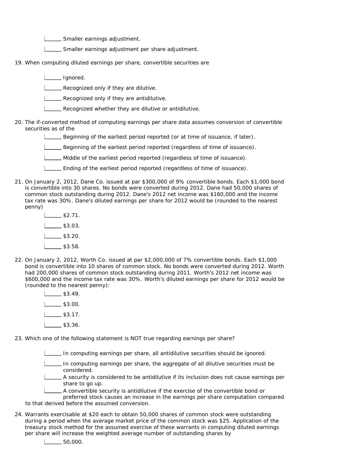Smaller earnings adjustment.

Smaller earnings adjustment per share adjustment.

- 19. When computing diluted earnings per share, convertible securities are
	- Ignored.

**LECOGNIZED CONV** if they are dilutive.

**LECOGNIZED CONV** if they are antidilutive.

Recognized whether they are dilutive or antidilutive.

- 20. The if-converted method of computing earnings per share data assumes conversion of convertible securities as of the
	- Beginning of the earliest period reported (or at time of issuance, if later).
	- Beginning of the earliest period reported (regardless of time of issuance).

Middle of the earliest period reported (regardless of time of issuance).

- Ending of the earliest period reported (regardless of time of issuance).
- 21. On January 2, 2012, Dane Co. issued at par \$300,000 of 9% convertible bonds. Each \$1,000 bond is convertible into 30 shares. No bonds were converted during 2012. Dane had 50,000 shares of common stock outstanding during 2012. Dane's 2012 net income was \$160,000 and the income tax rate was 30%. Dane's diluted earnings per share for 2012 would be (rounded to the nearest penny)
	- $\frac{1}{2}$  \$2.71.  $L_{2}$ \$3.03.  $\frac{1}{3}$ \$3.20.  $\frac{1}{3}$ \$3.58.
- 22. On January 2, 2012, Worth Co. issued at par \$2,000,000 of 7% convertible bonds. Each \$1,000 bond is convertible into 10 shares of common stock. No bonds were converted during 2012. Worth had 200,000 shares of common stock outstanding during 2011. Worth's 2012 net income was \$600,000 and the income tax rate was 30%. Worth's diluted earnings per share for 2012 would be (rounded to the nearest penny):
	- $\frac{1}{3.49}$ .  $1 \_$ \$3.00.  $\frac{1}{3}$ \$3.17.  $L_{33.36.}$

23. Which one of the following statement is NOT true regarding earnings per share?

In computing earnings per share, all antidilutive securities should be ignored.

- In computing earnings per share, the aggregate of all dilutive securities must be considered.
- A security is considered to be antidilutive if its inclusion does not cause earnings per share to go up.

A convertible security is antidilutive if the exercise of the convertible bond or

preferred stock causes an increase in the earnings per share computation compared to that derived before the assumed conversion.

- 24. Warrants exercisable at \$20 each to obtain 50,000 shares of common stock were outstanding during a period when the average market price of the common stock was \$25. Application of the treasury stock method for the assumed exercise of these warrants in computing diluted earnings per share will increase the weighted average number of outstanding shares by
	- $\frac{1}{50,000}$ .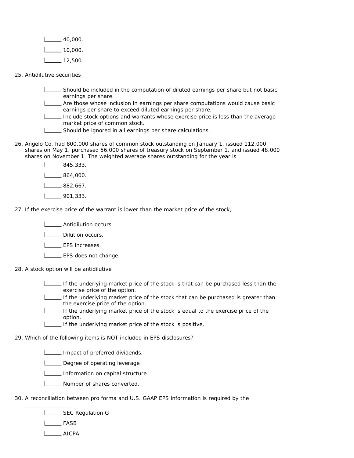| 40,000. |
|---------|
| 10,000. |
| 12,500. |

25. Antidilutive securities

Should be included in the computation of diluted earnings per share but not basic earnings per share.

Are those whose inclusion in earnings per share computations would cause basic earnings per share to exceed diluted earnings per share.

- Include stock options and warrants whose exercise price is less than the average market price of common stock.
- Should be ignored in all earnings per share calculations.
- 26. Angelo Co. had 800,000 shares of common stock outstanding on January 1, issued 112,000 shares on May 1, purchased 56,000 shares of treasury stock on September 1, and issued 48,000 shares on November 1. The weighted average shares outstanding for the year is
	- $-845,333.$  $\frac{1}{1}$  864,000.  $\frac{1}{1}$  882,667. 901,333.
- 27. If the exercise price of the warrant is lower than the market price of the stock,

**Letter Antidilution occurs.** 

**LECTE** Dilution occurs.

- **LEPS** increases.
- **LEPS** does not change.
- 28. A stock option will be antidilutive
	- If the underlying market price of the stock is that can be purchased less than the exercise price of the option.
	- If the underlying market price of the stock that can be purchased is greater than the exercise price of the option.
	- If the underlying market price of the stock is equal to the exercise price of the option.
	- If the underlying market price of the stock is positive.

29. Which of the following items is NOT included in EPS disclosures?

**Impact of preferred dividends.** 

Degree of operating leverage

- **Information on capital structure.**
- **Number of shares converted.**
- 30. A reconciliation between pro forma and U.S. GAAP EPS information is required by the

**LETTE:** SEC Regulation G

L<sub>FASB</sub>

\_\_\_\_\_\_\_\_\_\_\_\_\_\_.

AICPA